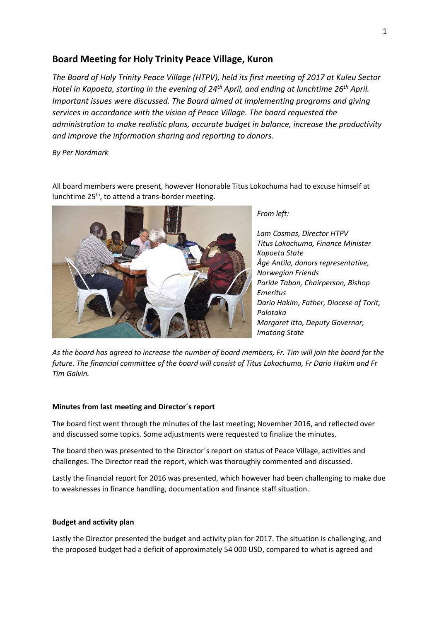## **Board Meeting for Holy Trinity Peace Village, Kuron**

*The Board of Holy Trinity Peace Village (HTPV), held its first meeting of 2017 at Kuleu Sector Hotel in Kapoeta, starting in the evening of 24th April, and ending at lunchtime 26th April. Important issues were discussed. The Board aimed at implementing programs and giving services in accordance with the vision of Peace Village. The board requested the administration to make realistic plans, accurate budget in balance, increase the productivity and improve the information sharing and reporting to donors.* 

*By Per Nordmark* 

All board members were present, however Honorable Titus Lokochuma had to excuse himself at lunchtime 25<sup>th</sup>, to attend a trans-border meeting.



*From left:* 

*Lam Cosmas, Director HTPV Titus Lokochuma, Finance Minister Kapoeta State Åge Antila, donors representative, Norwegian Friends Paride Taban, Chairperson, Bishop Emeritus Dario Hakim, Father, Diocese of Torit, Palotaka Margaret Itto, Deputy Governor, Imatong State* 

*As the board has agreed to increase the number of board members, Fr. Tim will join the board for the future. The financial committee of the board will consist of Titus Lokochuma, Fr Dario Hakim and Fr Tim Galvin.* 

## **Minutes from last meeting and Director´s report**

The board first went through the minutes of the last meeting; November 2016, and reflected over and discussed some topics. Some adjustments were requested to finalize the minutes.

The board then was presented to the Director´s report on status of Peace Village, activities and challenges. The Director read the report, which was thoroughly commented and discussed.

Lastly the financial report for 2016 was presented, which however had been challenging to make due to weaknesses in finance handling, documentation and finance staff situation.

## **Budget and activity plan**

Lastly the Director presented the budget and activity plan for 2017. The situation is challenging, and the proposed budget had a deficit of approximately 54 000 USD, compared to what is agreed and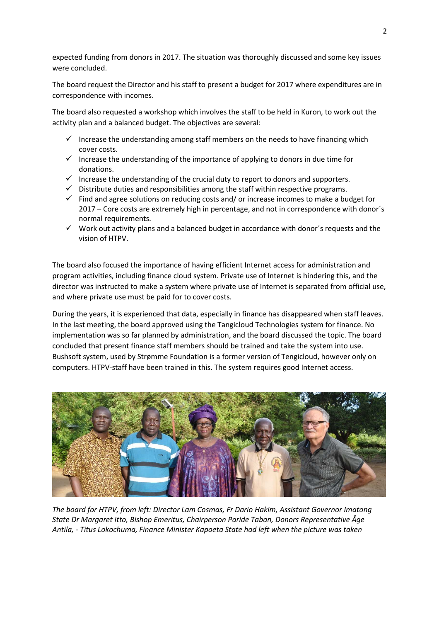expected funding from donors in 2017. The situation was thoroughly discussed and some key issues were concluded.

The board request the Director and his staff to present a budget for 2017 where expenditures are in correspondence with incomes.

The board also requested a workshop which involves the staff to be held in Kuron, to work out the activity plan and a balanced budget. The objectives are several:

- $\checkmark$  Increase the understanding among staff members on the needs to have financing which cover costs.
- Increase the understanding of the importance of applying to donors in due time for donations.
- $\checkmark$  Increase the understanding of the crucial duty to report to donors and supporters.
- $\checkmark$  Distribute duties and responsibilities among the staff within respective programs.
- $\checkmark$  Find and agree solutions on reducing costs and/or increase incomes to make a budget for 2017 – Core costs are extremely high in percentage, and not in correspondence with donor´s normal requirements.
- $\checkmark$  Work out activity plans and a balanced budget in accordance with donor's requests and the vision of HTPV.

The board also focused the importance of having efficient Internet access for administration and program activities, including finance cloud system. Private use of Internet is hindering this, and the director was instructed to make a system where private use of Internet is separated from official use, and where private use must be paid for to cover costs.

During the years, it is experienced that data, especially in finance has disappeared when staff leaves. In the last meeting, the board approved using the Tangicloud Technologies system for finance. No implementation was so far planned by administration, and the board discussed the topic. The board concluded that present finance staff members should be trained and take the system into use. Bushsoft system, used by Strømme Foundation is a former version of Tengicloud, however only on computers. HTPV-staff have been trained in this. The system requires good Internet access.



*The board for HTPV, from left: Director Lam Cosmas, Fr Dario Hakim, Assistant Governor Imatong State Dr Margaret Itto, Bishop Emeritus, Chairperson Paride Taban, Donors Representative Åge Antila, - Titus Lokochuma, Finance Minister Kapoeta State had left when the picture was taken*